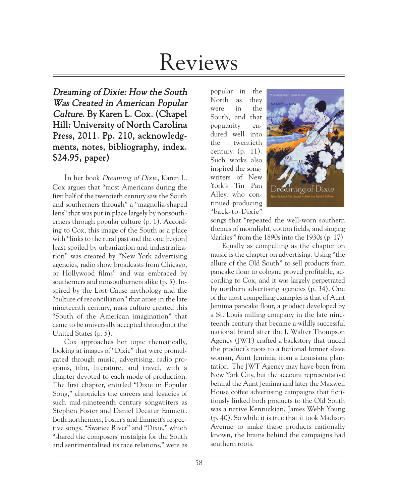# Reviews

## Dreaming of Dixie: How the South Was Created in American Popular Culture. By Karen L. Cox. (Chapel Hill: University of North Carolina Press, 2011. Pp. 210, acknowledgments, notes, bibliography, index. \$24.95, paper)

In her book Dreaming of Dixie, Karen L. Cox argues that "most Americans during the first half of the twentieth century saw the South and southerners through" a "magnolia-shaped lens" that was put in place largely by nonsoutherners through popular culture (p. 1). According to Cox, this image of the South as a place with "links to the rural past and the one [region] least spoiled by urbanization and industrialization" was created by "New York advertising agencies, radio show broadcasts from Chicago, or Hollywood films" and was embraced by southerners and nonsoutherners alike (p. 5). Inspired by the Lost Cause mythology and the "culture of reconciliation" that arose in the late nineteenth century, mass culture created this "South of the American imagination" that came to be universally accepted throughout the United States (p. 5).

Cox approaches her topic thematically, looking at images of "Dixie" that were promulgated through music, advertising, radio programs, film, literature, and travel, with a chapter devoted to each mode of production. The first chapter, entitled "Dixie in Popular Song," chronicles the careers and legacies of such mid-nineteenth century songwriters as Stephen Foster and Daniel Decatur Emmett. Both northerners, Foster's and Emmett's respective songs, "Swanee River" and "Dixie," which "shared the composers' nostalgia for the South and sentimentalized its race relations," were as

popular in the North as they were in the South, and that popularity endured well into the twentieth century  $(p. 11)$ . Such works also inspired the songwriters of New York's Tin Pan Alley, who continued producing "back-to-Dixie"



songs that "repeated the well-worn southern themes of moonlight, cotton fields, and singing 'darkies'" from the 1890s into the 1930s (p. 17).

Equally as compelling as the chapter on music is the chapter on advertising. Using "the allure of the Old South" to sell products from pancake flour to cologne proved profitable, according to Cox, and it was largely perpetrated by northern advertising agencies (p. 34). One of the most compelling examples is that of Aunt Jemima pancake flour, a product developed by a St. Louis milling company in the late nineteenth century that became a wildly successful national brand after the J. Walter Thompson Agency (JWT) crafted a backstory that traced the product's roots to a fictional former slave woman, Aunt Jemima, from a Louisiana plantation. The JWT Agency may have been from New York City, but the account representative behind the Aunt Jemima and later the Maxwell House coffee advertising campaigns that fictitiously linked both products to the Old South was a native Kentuckian, James Webb Young (p. 40). So while it is true that it took Madison Avenue to make these products nationally known, the brains behind the campaigns had southern roots.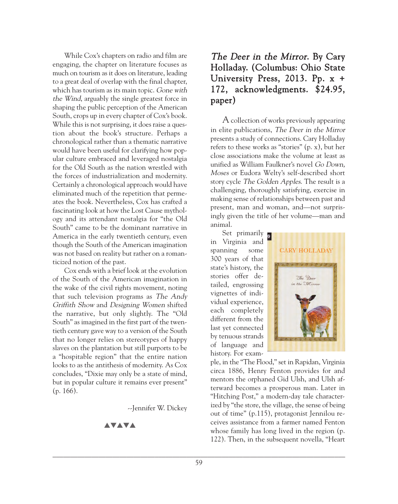While Cox's chapters on radio and film are engaging, the chapter on literature focuses as much on tourism as it does on literature, leading to a great deal of overlap with the final chapter, which has tourism as its main topic. Gone with the Wind, arguably the single greatest force in shaping the public perception of the American South, crops up in every chapter of Cox's book. While this is not surprising, it does raise a question about the book's structure. Perhaps a chronological rather than a thematic narrative would have been useful for clarifying how popular culture embraced and leveraged nostalgia for the Old South as the nation wrestled with the forces of industrialization and modernity. Certainly a chronological approach would have eliminated much of the repetition that permeates the book. Nevertheless, Cox has crafted a fascinating look at how the Lost Cause mythology and its attendant nostalgia for "the Old South" came to be the dominant narrative in America in the early twentieth century, even though the South of the American imagination was not based on reality but rather on a romanticized notion of the past.

Cox ends with a brief look at the evolution of the South of the American imagination in the wake of the civil rights movement, noting that such television programs as The Andy Griffith Show and Designing Women shifted the narrative, but only slightly. The "Old South" as imagined in the first part of the twentieth century gave way to a version of the South that no longer relies on stereotypes of happy slaves on the plantation but still purports to be a "hospitable region" that the entire nation looks to as the antithesis of modernity. As Cox concludes, "Dixie may only be a state of mind, but in popular culture it remains ever present" (p. 166).

--Jennifer W. Dickey

**AVAVA** 

# The Deer in the Mirror. By Cary Holladay. (Columbus: Ohio State University Press, 2013. Pp. x + 172, acknowledgments. \$24.95, paper)

Acollection of works previously appearing in elite publications, The Deer in the Mirror presents a study of connections. Cary Holladay refers to these works as "stories" (p. x), but her close associations make the volume at least as unified as William Faulkner's novel Go Down, Moses or Eudora Welty's self-described short story cycle The Golden Apples. The result is a challenging, thoroughly satisfying, exercise in making sense of relationships between past and present, man and woman, and—not surprisingly given the title of her volume—man and animal.

Set primarily **a** in Virginia and spanning some 300 years of that state's history, the stories offer detailed, engrossing vignettes of individual experience, each completely different from the last yet connected by tenuous strands of language and history. For exam-



ple, in the "The Flood," set in Rapidan, Virginia circa 1886, Henry Fenton provides for and mentors the orphaned Gid Ulsh, and Ulsh afterward becomes a prosperous man. Later in "Hitching Post," a modern-day tale characterized by "the store, the village, the sense of being out of time" (p.115), protagonist Jennilou receives assistance from a farmer named Fenton whose family has long lived in the region (p. 122). Then, in the subsequent novella, "Heart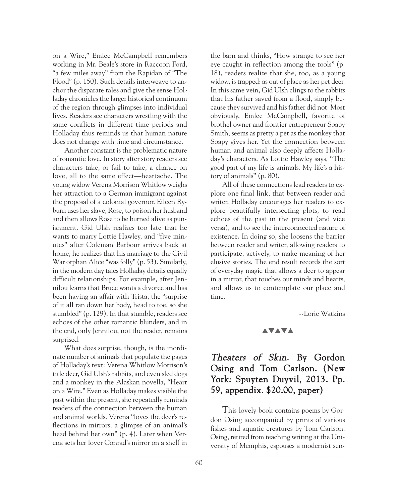on a Wire," Emlee McCampbell remembers working in Mr. Beale's store in Raccoon Ford, "a few miles away" from the Rapidan of "The Flood" (p. 150). Such details interweave to anchor the disparate tales and give the sense Holladay chronicles the larger historical continuum of the region through glimpses into individual lives. Readers see characters wrestling with the same conflicts in different time periods and Holladay thus reminds us that human nature does not change with time and circumstance.

Another constant is the problematic nature of romantic love. In story after story readers see characters take, or fail to take, a chance on love, all to the same effect—heartache. The young widow Verena Morrison Whitlow weighs her attraction to a German immigrant against the proposal of a colonial governor. Eileen Ryburn uses her slave, Rose, to poison her husband and then allows Rose to be burned alive as punishment. Gid Ulsh realizes too late that he wants to marry Lottie Hawley, and "five minutes" after Coleman Barbour arrives back at home, he realizes that his marriage to the Civil War orphan Alice "was folly" (p. 53). Similarly, in the modern day tales Holladay details equally difficult relationships. For example, after Jennilou learns that Bruce wants a divorce and has been having an affair with Trista, the "surprise of it all ran down her body, head to toe, so she stumbled" (p. 129). In that stumble, readers see echoes of the other romantic blunders, and in the end, only Jennilou, not the reader, remains surprised.

What does surprise, though, is the inordinate number of animals that populate the pages of Holladay's text: Verena Whitlow Morrison's title deer, Gid Ulsh's rabbits, and even sled dogs and a monkey in the Alaskan novella, "Heart on a Wire." Even as Holladay makes visible the past within the present, she repeatedly reminds readers of the connection between the human and animal worlds. Verena "loves the deer's reflections in mirrors, a glimpse of an animal's head behind her own" (p. 4). Later when Verena sets her lover Conrad's mirror on a shelf in

the barn and thinks, "How strange to see her eye caught in reflection among the tools" (p. 18), readers realize that she, too, as a young widow, is trapped: as out of place as her pet deer. In this same vein, Gid Ulsh clings to the rabbits that his father saved from a flood, simply because they survived and his father did not. Most obviously, Emlee McCampbell, favorite of brothel owner and frontier entrepreneur Soapy Smith, seems as pretty a pet as the monkey that Soapy gives her. Yet the connection between human and animal also deeply affects Holladay's characters. As Lottie Hawley says, "The good part of my life is animals. My life's a history of animals" (p. 80).

All of these connections lead readers to explore one final link, that between reader and writer. Holladay encourages her readers to explore beautifully intersecting plots, to read echoes of the past in the present (and vice versa), and to see the interconnected nature of existence. In doing so, she loosens the barrier between reader and writer, allowing readers to participate, actively, to make meaning of her elusive stories. The end result records the sort of everyday magic that allows a deer to appear in a mirror, that touches our minds and hearts, and allows us to contemplate our place and time.

--Lorie Watkins

#### **AVAVA**

## Theaters of Skin. By Gordon Osing and Tom Carlson. (New York: Spuyten Duyvil, 2013. Pp. 59, appendix. \$20.00, paper)

This lovely book contains poems by Gordon Osing accompanied by prints of various fishes and aquatic creatures by Tom Carlson. Osing, retired from teaching writing at the University of Memphis, espouses a modernist sen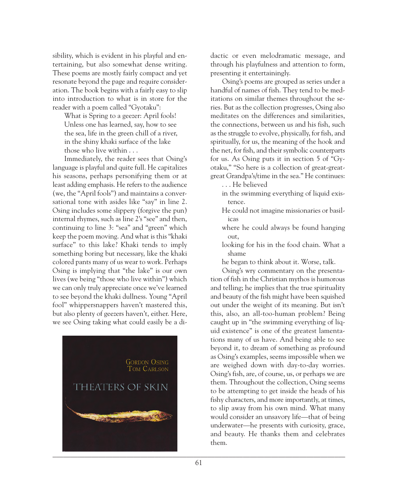sibility, which is evident in his playful and entertaining, but also somewhat dense writing. These poems are mostly fairly compact and yet resonate beyond the page and require consideration. The book begins with a fairly easy to slip into introduction to what is in store for the reader with a poem called "Gyotaku":

What is Spring to a geezer: April fools! Unless one has learned, say, how to see the sea, life in the green chill of a river, in the shiny khaki surface of the lake those who live within . . .

Immediately, the reader sees that Osing's language is playful and quite full. He capitalizes his seasons, perhaps personifying them or at least adding emphasis. He refers to the audience (we, the "April fools") and maintains a conversational tone with asides like "say" in line 2. Osing includes some slippery (forgive the pun) internal rhymes, such as line 2's "see" and then, continuing to line 3: "sea" and "green" which keep the poem moving. And what is this "khaki surface" to this lake? Khaki tends to imply something boring but necessary, like the khaki colored pants many of us wear to work. Perhaps Osing is implying that "the lake" is our own lives (we being "those who live within") which we can only truly appreciate once we've learned to see beyond the khaki dullness. Young "April fool" whippersnappers haven't mastered this, but also plenty of geezers haven't, either. Here, we see Osing taking what could easily be a di-



dactic or even melodramatic message, and through his playfulness and attention to form, presenting it entertainingly.

Osing's poems are grouped as series under a handful of names of fish. They tend to be meditations on similar themes throughout the series. But as the collection progresses, Osing also meditates on the differences and similarities, the connections, between us and his fish, such as the struggle to evolve, physically, for fish, and spiritually, for us, the meaning of the hook and the net, for fish, and their symbolic counterparts for us. As Osing puts it in section 5 of "Gyotaku," "So here is a collection of great-greatgreat Grandpa's/time in the sea." He continues:

. . . He believed

- in the swimming everything of liquid existence.
- He could not imagine missionaries or basilicas
- where he could always be found hanging out,
- looking for his in the food chain. What a shame
- he began to think about it. Worse, talk.

Osing's wry commentary on the presentation of fish in the Christian mythos is humorous and telling; he implies that the true spirituality and beauty of the fish might have been squished out under the weight of its meaning. But isn't this, also, an all-too-human problem? Being caught up in "the swimming everything of liquid existence" is one of the greatest lamentations many of us have. And being able to see beyond it, to dream of something as profound as Osing's examples, seems impossible when we are weighed down with day-to-day worries. Osing's fish, are, of course, us, or perhaps we are them. Throughout the collection, Osing seems to be attempting to get inside the heads of his fishy characters, and more importantly, at times, to slip away from his own mind. What many would consider an unsavory life—that of being underwater—he presents with curiosity, grace, and beauty. He thanks them and celebrates them.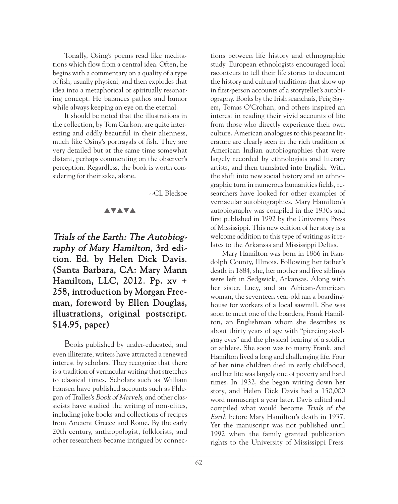Tonally, Osing's poems read like meditations which flow from a central idea. Often, he begins with a commentary on a quality of a type of fish, usually physical, and then explodes that idea into a metaphorical or spiritually resonating concept. He balances pathos and humor while always keeping an eye on the eternal.

It should be noted that the illustrations in the collection, by Tom Carlson, are quite interesting and oddly beautiful in their alienness, much like Osing's portrayals of fish. They are very detailed but at the same time somewhat distant, perhaps commenting on the observer's perception. Regardless, the book is worth considering for their sake, alone.

--CL Bledsoe

### **AVAVA**

Trials of the Earth: The Autobiography of Mary Hamilton, 3rd edition. Ed. by Helen Dick Davis. (Santa Barbara, CA: Mary Mann Hamilton, LLC, 2012. Pp. xv + 258, introduction by Morgan Freeman, foreword by Ellen Douglas, illustrations, original postscript. \$14.95, paper)

Books published by under-educated, and even illiterate, writers have attracted a renewed interest by scholars. They recognize that there is a tradition of vernacular writing that stretches to classical times. Scholars such as William Hansen have published accounts such as Phlegon of Tralles's Book of Marvels, and other classicists have studied the writing of non-elites, including joke books and collections of recipes from Ancient Greece and Rome. By the early 20th century, anthropologist, folklorists, and other researchers became intrigued by connections between life history and ethnographic study. European ethnologists encouraged local raconteurs to tell their life stories to document the history and cultural traditions that show up in first-person accounts of a storyteller's autobiography. Books by the Irish seanchaís, Peig Sayers, Tomas O'Crohan, and others inspired an interest in reading their vivid accounts of life from those who directly experience their own culture. American analogues to this peasant literature are clearly seen in the rich tradition of American Indian autobiographies that were largely recorded by ethnologists and literary artists, and then translated into English. With the shift into new social history and an ethnographic turn in numerous humanities fields, researchers have looked for other examples of vernacular autobiographies. Mary Hamilton's autobiography was compiled in the 1930s and first published in 1992 by the University Press of Mississippi. This new edition of her story is a welcome addition to this type of writing as it relates to the Arkansas and Mississippi Deltas.

Mary Hamilton was born in 1866 in Randolph County, Illinois. Following her father's death in 1884, she, her mother and five siblings were left in Sedgwick, Arkansas. Along with her sister, Lucy, and an African-American woman, the seventeen year-old ran a boardinghouse for workers of a local sawmill. She was soon to meet one of the boarders, Frank Hamilton, an Englishman whom she describes as about thirty years of age with "piercing steelgray eyes" and the physical bearing of a soldier or athlete. She soon was to marry Frank, and Hamilton lived a long and challenging life. Four of her nine children died in early childhood, and her life was largely one of poverty and hard times. In 1932, she began writing down her story, and Helen Dick Davis had a 150,000 word manuscript a year later. Davis edited and compiled what would become Trials of the Earth before Mary Hamilton's death in 1937. Yet the manuscript was not published until 1992 when the family granted publication rights to the University of Mississippi Press.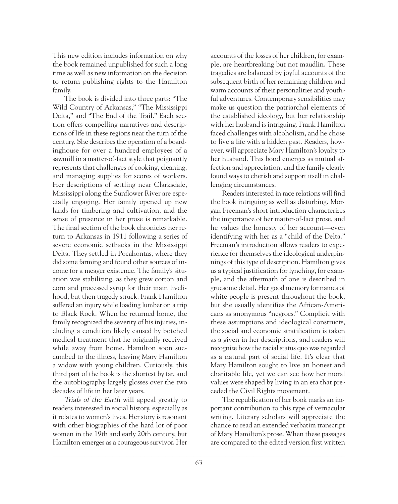This new edition includes information on why the book remained unpublished for such a long time as well as new information on the decision to return publishing rights to the Hamilton family.

The book is divided into three parts: "The Wild Country of Arkansas," "The Mississippi Delta," and "The End of the Trail." Each section offers compelling narratives and descriptions of life in these regions near the turn of the century. She describes the operation of a boardinghouse for over a hundred employees of a sawmill in a matter-of-fact style that poignantly represents that challenges of cooking, cleaning, and managing supplies for scores of workers. Her descriptions of settling near Clarksdale, Mississippi along the Sunflower River are especially engaging. Her family opened up new lands for timbering and cultivation, and the sense of presence in her prose is remarkable. The final section of the book chronicles her return to Arkansas in 1911 following a series of severe economic setbacks in the Mississippi Delta. They settled in Pocahontas, where they did some farming and found other sources of income for a meager existence. The family's situation was stabilizing, as they grew cotton and corn and processed syrup for their main livelihood, but then tragedy struck. Frank Hamilton suffered an injury while loading lumber on a trip to Black Rock. When he returned home, the family recognized the severity of his injuries, including a condition likely caused by botched medical treatment that he originally received while away from home. Hamilton soon succumbed to the illness, leaving Mary Hamilton a widow with young children. Curiously, this third part of the book is the shortest by far, and the autobiography largely glosses over the two decades of life in her later years.

Trials of the Earth will appeal greatly to readers interested in social history, especially as it relates to women's lives. Her story is resonant with other biographies of the hard lot of poor women in the 19th and early 20th century, but Hamilton emerges as a courageous survivor. Her

accounts of the losses of her children, for example, are heartbreaking but not maudlin. These tragedies are balanced by joyful accounts of the subsequent birth of her remaining children and warm accounts of their personalities and youthful adventures. Contemporary sensibilities may make us question the patriarchal elements of the established ideology, but her relationship with her husband is intriguing. Frank Hamilton faced challenges with alcoholism, and he chose to live a life with a hidden past. Readers, however, will appreciate Mary Hamilton's loyalty to her husband. This bond emerges as mutual affection and appreciation, and the family clearly found ways to cherish and support itself in challenging circumstances.

Readers interested in race relations will find the book intriguing as well as disturbing. Morgan Freeman's short introduction characterizes the importance of her matter-of-fact prose, and he values the honesty of her account—even identifying with her as a "child of the Delta." Freeman's introduction allows readers to experience for themselves the ideological underpinnings of this type of description. Hamilton gives us a typical justification for lynching, for example, and the aftermath of one is described in gruesome detail. Her good memory for names of white people is present throughout the book, but she usually identifies the African-Americans as anonymous "negroes." Complicit with these assumptions and ideological constructs, the social and economic stratification is taken as a given in her descriptions, and readers will recognize how the racial status quo was regarded as a natural part of social life. It's clear that Mary Hamilton sought to live an honest and charitable life, yet we can see how her moral values were shaped by living in an era that preceded the Civil Rights movement.

The republication of her book marks an important contribution to this type of vernacular writing. Literary scholars will appreciate the chance to read an extended verbatim transcript of Mary Hamilton's prose. When these passages are compared to the edited version first written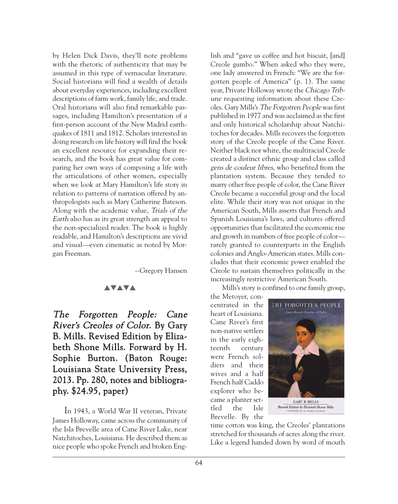by Helen Dick Davis, they'll note problems with the rhetoric of authenticity that may be assumed in this type of vernacular literature. Social historians will find a wealth of details about everyday experiences, including excellent descriptions of farm work, family life, and trade. Oral historians will also find remarkable passages, including Hamilton's presentation of a first-person account of the New Madrid earthquakes of 1811 and 1812. Scholars interested in doing research on life history will find the book an excellent resource for expanding their research, and the book has great value for comparing her own ways of composing a life with the articulations of other women, especially when we look at Mary Hamilton's life story in relation to patterns of narration offered by anthropologists such as Mary Catherine Bateson. Along with the academic value, Trials of the Earth also has as its great strength an appeal to the non-specialized reader. The book is highly readable, and Hamilton's descriptions are vivid and visual—even cinematic as noted by Morgan Freeman.

--Gregory Hansen

### **AVAVA**

The Forgotten People: Cane River's Creoles of Color. By Gary B. Mills. Revised Edition by Elizabeth Shone Mills. Forward by H. Sophie Burton. (Baton Rouge: Louisiana State University Press, 2013. Pp. 280, notes and bibliography. \$24.95, paper)

In 1943, a World War II veteran, Private James Holloway, came across the community of the Isla Brevelle area of Cane River Lake, near Natchitoches, Louisiana. He described them as nice people who spoke French and broken Eng- $\blacksquare$ 

lish and "gave us coffee and hot biscuit, [and] Creole gumbo." When asked who they were, one lady answered in French: "We are the forgotten people of America" (p. 1). The same year, Private Holloway wrote the Chicago Tribune requesting information about these Creoles. Gary Mills's The Forgotten People was first published in 1977 and was acclaimed as the first and only historical scholarship about Natchitoches for decades. Mills recovers the forgotten story of the Creole people of the Cane River. Neither black nor white, the multiracial Creole created a distinct ethnic group and class called gens de couleur libres, who benefited from the plantation system. Because they tended to marry other free people of color, the Cane River Creole became a successful group and the local elite. While their story was not unique in the American South, Mills asserts that French and Spanish Louisiana's laws, and cultures offered opportunities that facilitated the economic rise and growth in numbers of free people of color rarely granted to counterparts in the English colonies and Anglo-American states. Mills concludes that their economic power enabled the Creole to sustain themselves politically in the increasingly restrictive American South.

Mills's story is confined to one family group,

the Metoyer, concentrated in the heart of Louisiana. Cane River's first non-native settlers in the early eighteenth century were French soldiers and their wives and a half French half Caddo explorer who became a planter settled the Isle Brevelle. By the



time cotton was king, the Creoles' plantations stretched for thousands of acres along the river. Like a legend handed down by word of mouth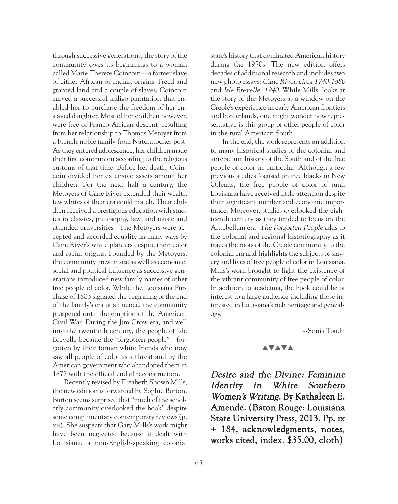through successive generations, the story of the community owes its beginnings to a woman called Marie Thereze Coincoin—a former slave of either African or Indian origins. Freed and granted land and a couple of slaves, Coincoin carved a successful indigo plantation that enabled her to purchase the freedom of her enslaved daughter. Most of her children however, were free of Franco-African descent, resulting from her relationship to Thomas Metoyer from a French noble family from Natchitoches post. As they entered adolescence, her children made their first communion according to the religious customs of that time. Before her death, Coincoin divided her extensive assets among her children. For the next half a century, the Metoyers of Cane River extended their wealth few whites of their era could match. Their children received a prestigious education with studies in classics, philosophy, law, and music and attended universities. The Metoyers were accepted and accorded equality in many ways by Cane River's white planters despite their color and racial origins. Founded by the Metoyers, the community grew in size as well as economic, social and political influence as successive generations introduced new family names of other free people of color. While the Louisiana Purchase of 1803 signaled the beginning of the end of the family's era of affluence, the community prospered until the eruption of the American Civil War. During the Jim Crow era, and well into the twentieth century, the people of Isle Brevelle became the "forgotten people"—forgotten by their former white friends who now saw all people of color as a threat and by the American government who abandoned them in 1877 with the official end of reconstruction.

Recently revised by Elizabeth Shown Mills, the new edition is forwarded by Sophie Burton. Burton seems surprised that "much of the scholarly community overlooked the book" despite some complimentary contemporary reviews (p. xii). She suspects that Gary Mills's work might have been neglected because it dealt with Louisiana, a non-English-speaking colonial

state's history that dominated American history during the 1970s. The new edition offers decades of additional research and includes two new photo essays: Cane River, circa 1740-1880 and Isle Brevelle, 1940. While Mills, looks at the story of the Metoyers as a window on the Creole's experience in early American frontiers and borderlands, one might wonder how representative is this group of other people of color in the rural American South.

In the end, the work represents an addition to many historical studies of the colonial and antebellum history of the South and of the free people of color in particular. Although a few previous studies focused on free blacks in New Orleans, the free people of color of rural Louisiana have received little attention despite their significant number and economic importance. Moreover, studies overlooked the eighteenth century as they tended to focus on the Antebellum era. The Forgotten People adds to the colonial and regional historiography as it traces the roots of the Creole community to the colonial era and highlights the subjects of slavery and lives of free people of color in Louisiana. Mills's work brought to light the existence of the vibrant community of free people of color. In addition to academia, the book could be of interest to a large audience including those interested in Louisiana's rich heritage and genealogy.

--Sonia Toudji

### **AVAVA**

Desire and the Divine: Feminine Identity in White Southern Women's Writing. By Kathaleen E. Amende. (Baton Rouge: Louisiana State University Press, 2013. Pp. ix + 184, acknowledgments, notes, works cited, index. \$35.00, cloth)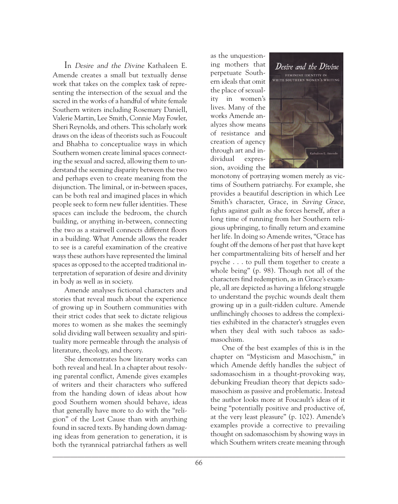In Desire and the Divine Kathaleen E. Amende creates a small but textually dense work that takes on the complex task of representing the intersection of the sexual and the sacred in the works of a handful of white female Southern writers including Rosemary Daniell, Valerie Martin, Lee Smith, Connie May Fowler, Sheri Reynolds, and others. This scholarly work draws on the ideas of theorists such as Foucoult and Bhabha to conceptualize ways in which Southern women create liminal spaces connecting the sexual and sacred, allowing them to understand the seeming disparity between the two and perhaps even to create meaning from the disjunction. The liminal, or in-between spaces, can be both real and imagined places in which people seek to form new fuller identities. These spaces can include the bedroom, the church building, or anything in-between, connecting the two as a stairwell connects different floors in a building. What Amende allows the reader to see is a careful examination of the creative ways these authors have represented the liminal spaces as opposed to the accepted traditional interpretation of separation of desire and divinity in body as well as in society.

Amende analyses fictional characters and stories that reveal much about the experience of growing up in Southern communities with their strict codes that seek to dictate religious mores to women as she makes the seemingly solid dividing wall between sexuality and spirituality more permeable through the analysis of literature, theology, and theory.

She demonstrates how literary works can both reveal and heal. In a chapter about resolving parental conflict, Amende gives examples of writers and their characters who suffered from the handing down of ideas about how good Southern women should behave, ideas that generally have more to do with the "religion" of the Lost Cause than with anything found in sacred texts. By handing down damaging ideas from generation to generation, it is both the tyrannical patriarchal fathers as well

as the unquestioning mothers that perpetuate Southern ideals that omit the place of sexuality in women's lives. Many of the works Amende analyzes show means of resistance and creation of agency through art and individual expression, avoiding the



monotony of portraying women merely as victims of Southern patriarchy. For example, she provides a beautiful description in which Lee Smith's character, Grace, in Saving Grace, fights against guilt as she forces herself, after a long time of running from her Southern religious upbringing, to finally return and examine her life. In doing so Amende writes, "Grace has fought off the demons of her past that have kept her compartmentalizing bits of herself and her psyche . . . to pull them together to create a whole being" (p. 98). Though not all of the characters find redemption, as in Grace's example, all are depicted as having a lifelong struggle to understand the psychic wounds dealt them growing up in a guilt-ridden culture. Amende unflinchingly chooses to address the complexities exhibited in the character's struggles even when they deal with such taboos as sadomasochism.

One of the best examples of this is in the chapter on "Mysticism and Masochism," in which Amende deftly handles the subject of sadomasochism in a thought-provoking way, debunking Freudian theory that depicts sadomasochism as passive and problematic. Instead the author looks more at Foucault's ideas of it being "potentially positive and productive of, at the very least pleasure" (p. 102). Amende's examples provide a corrective to prevailing thought on sadomasochism by showing ways in which Southern writers create meaning through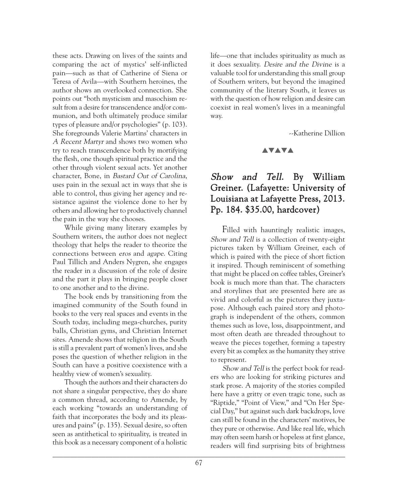these acts. Drawing on lives of the saints and comparing the act of mystics' self-inflicted pain—such as that of Catherine of Siena or Teresa of Avila—with Southern heroines, the author shows an overlooked connection. She points out "both mysticism and masochism result from a desire for transcendence and/or communion, and both ultimately produce similar types of pleasure and/or psychologies" (p. 103). She foregrounds Valerie Martins' characters in A Recent Martyr and shows two women who try to reach transcendence both by mortifying the flesh, one though spiritual practice and the other through violent sexual acts. Yet another character, Bone, in Bastard Out of Carolina, uses pain in the sexual act in ways that she is able to control, thus giving her agency and resistance against the violence done to her by others and allowing her to productively channel the pain in the way she chooses.

While giving many literary examples by Southern writers, the author does not neglect theology that helps the reader to theorize the connections between eros and agape. Citing Paul Tillich and Anders Nygren, she engages the reader in a discussion of the role of desire and the part it plays in bringing people closer to one another and to the divine.

The book ends by transitioning from the imagined community of the South found in books to the very real spaces and events in the South today, including mega-churches, purity balls, Christian gyms, and Christian Internet sites. Amende shows that religion in the South is still a prevalent part of women's lives, and she poses the question of whether religion in the South can have a positive coexistence with a healthy view of women's sexuality.

Though the authors and their characters do not share a singular perspective, they do share a common thread, according to Amende, by each working "towards an understanding of faith that incorporates the body and its pleasures and pains" (p. 135). Sexual desire, so often seen as antithetical to spirituality, is treated in this book as a necessary component of a holistic

life—one that includes spirituality as much as it does sexuality. Desire and the Divine is a valuable tool for understanding this small group of Southern writers, but beyond the imagined community of the literary South, it leaves us with the question of how religion and desire can coexist in real women's lives in a meaningful way.

--Katherine Dillion

## **AVAVA**

## Show and Tell. By William Greiner. (Lafayette: University of Louisiana at Lafayette Press, 2013. Pp. 184. \$35.00, hardcover)

Filled with hauntingly realistic images, Show and Tell is a collection of twenty-eight pictures taken by William Greiner, each of which is paired with the piece of short fiction it inspired. Though reminiscent of something that might be placed on coffee tables, Greiner's book is much more than that. The characters and storylines that are presented here are as vivid and colorful as the pictures they juxtapose. Although each paired story and photograph is independent of the others, common themes such as love, loss, disappointment, and most often death are threaded throughout to weave the pieces together, forming a tapestry every bit as complex as the humanity they strive to represent.

Show and Tell is the perfect book for readers who are looking for striking pictures and stark prose. A majority of the stories compiled here have a gritty or even tragic tone, such as "Riptide," "Point of View," and "On Her Special Day," but against such dark backdrops, love can still be found in the characters' motives, be they pure or otherwise. And like real life, which may often seem harsh or hopeless at first glance, readers will find surprising bits of brightness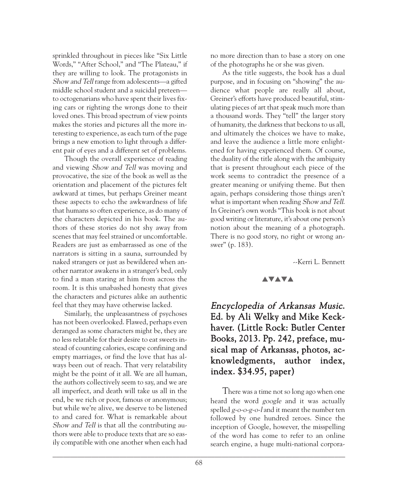sprinkled throughout in pieces like "Six Little Words," "After School," and "The Plateau," if they are willing to look. The protagonists in Show and Tell range from adolescents—a gifted middle school student and a suicidal preteen to octogenarians who have spent their lives fixing cars or righting the wrongs done to their loved ones. This broad spectrum of view points makes the stories and pictures all the more interesting to experience, as each turn of the page brings a new emotion to light through a different pair of eyes and a different set of problems.

Though the overall experience of reading and viewing Show and Tell was moving and provocative, the size of the book as well as the orientation and placement of the pictures felt awkward at times, but perhaps Greiner meant these aspects to echo the awkwardness of life that humans so often experience, as do many of the characters depicted in his book. The authors of these stories do not shy away from scenes that may feel strained or uncomfortable. Readers are just as embarrassed as one of the narrators is sitting in a sauna, surrounded by naked strangers or just as bewildered when another narrator awakens in a stranger's bed, only to find a man staring at him from across the room. It is this unabashed honesty that gives the characters and pictures alike an authentic feel that they may have otherwise lacked.

Similarly, the unpleasantness of psychoses has not been overlooked. Flawed, perhaps even deranged as some characters might be, they are no less relatable for their desire to eat sweets instead of counting calories, escape confining and empty marriages, or find the love that has always been out of reach. That very relatability might be the point of it all. We are all human, the authors collectively seem to say, and we are all imperfect, and death will take us all in the end, be we rich or poor, famous or anonymous; but while we're alive, we deserve to be listened to and cared for. What is remarkable about Show and Tell is that all the contributing authors were able to produce texts that are so easily compatible with one another when each had

no more direction than to base a story on one of the photographs he or she was given.

As the title suggests, the book has a dual purpose, and in focusing on "showing" the audience what people are really all about, Greiner's efforts have produced beautiful, stimulating pieces of art that speak much more than a thousand words. They "tell" the larger story of humanity, the darkness that beckons to us all, and ultimately the choices we have to make, and leave the audience a little more enlightened for having experienced them. Of course, the duality of the title along with the ambiguity that is present throughout each piece of the work seems to contradict the presence of a greater meaning or unifying theme. But then again, perhaps considering those things aren't what is important when reading Show and Tell. In Greiner's own words "This book is not about good writing or literature, it's about one person's notion about the meaning of a photograph. There is no good story, no right or wrong answer" (p. 183).

--Kerri L. Bennett

#### **AVAVA**

## Encyclopedia of Arkansas Music. Ed. by Ali Welky and Mike Keckhaver. (Little Rock: Butler Center Books, 2013. Pp. 242, preface, musical map of Arkansas, photos, acknowledgments, author index, index. \$34.95, paper)

There was a time not so long ago when one heard the word *google* and it was actually spelled g-o-o-g-o-<sup>l</sup> and it meant the number ten followed by one hundred zeroes. Since the inception of Google, however, the misspelling of the word has come to refer to an online search engine, a huge multi-national corpora-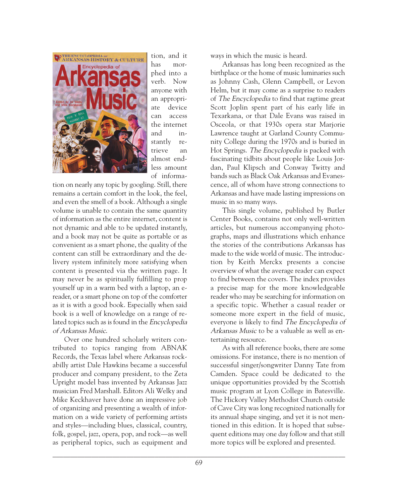

tion, and it has morphed into a verb. Now anyone with an appropriate device can access the internet and instantly retrieve an almost endless amount of informa-

tion on nearly any topic by googling. Still, there remains a certain comfort in the look, the feel, and even the smell of a book. Although a single volume is unable to contain the same quantity of information as the entire internet, content is not dynamic and able to be updated instantly, and a book may not be quite as portable or as convenient as a smart phone, the quality of the content can still be extraordinary and the delivery system infinitely more satisfying when content is presented via the written page. It may never be as spiritually fulfilling to prop yourself up in a warm bed with a laptop, an ereader, or a smart phone on top of the comforter as it is with a good book. Especially when said book is a well of knowledge on a range of related topics such as is found in the Encyclopedia of Arkansas Music.

Over one hundred scholarly writers contributed to topics ranging from ABNAK Records, the Texas label where Arkansas rockabilly artist Dale Hawkins became a successful producer and company president, to the Zeta Upright model bass invented by Arkansas Jazz musician Fred Marshall. Editors Ali Welky and Mike Keckhaver have done an impressive job of organizing and presenting a wealth of information on a wide variety of performing artists and styles—including blues, classical, country, folk, gospel, jazz, opera, pop, and rock—as well as peripheral topics, such as equipment and

ways in which the music is heard.

Arkansas has long been recognized as the birthplace or the home of music luminaries such as Johnny Cash, Glenn Campbell, or Levon Helm, but it may come as a surprise to readers of The Encyclopedia to find that ragtime great Scott Joplin spent part of his early life in Texarkana, or that Dale Evans was raised in Osceola, or that 1930s opera star Marjorie Lawrence taught at Garland County Community College during the 1970s and is buried in Hot Springs. The Encyclopedia is packed with fascinating tidbits about people like Louis Jordan, Paul Klipsch and Conway Twitty and bands such as Black Oak Arkansas and Evanescence, all of whom have strong connections to Arkansas and have made lasting impressions on music in so many ways.

This single volume, published by Butler Center Books, contains not only well-written articles, but numerous accompanying photographs, maps and illustrations which enhance the stories of the contributions Arkansas has made to the wide world of music. The introduction by Keith Merckx presents a concise overview of what the average reader can expect to find between the covers. The index provides a precise map for the more knowledgeable reader who may be searching for information on a specific topic. Whether a casual reader or someone more expert in the field of music, everyone is likely to find The Encyclopedia of Arkansas Music to be a valuable as well as entertaining resource.

As with all reference books, there are some omissions. For instance, there is no mention of successful singer/songwriter Danny Tate from Camden. Space could be dedicated to the unique opportunities provided by the Scottish music program at Lyon College in Batesville. The Hickory Valley Methodist Church outside of Cave City was long recognized nationally for its annual shape singing, and yet it is not mentioned in this edition. It is hoped that subsequent editions may one day follow and that still more topics will be explored and presented.